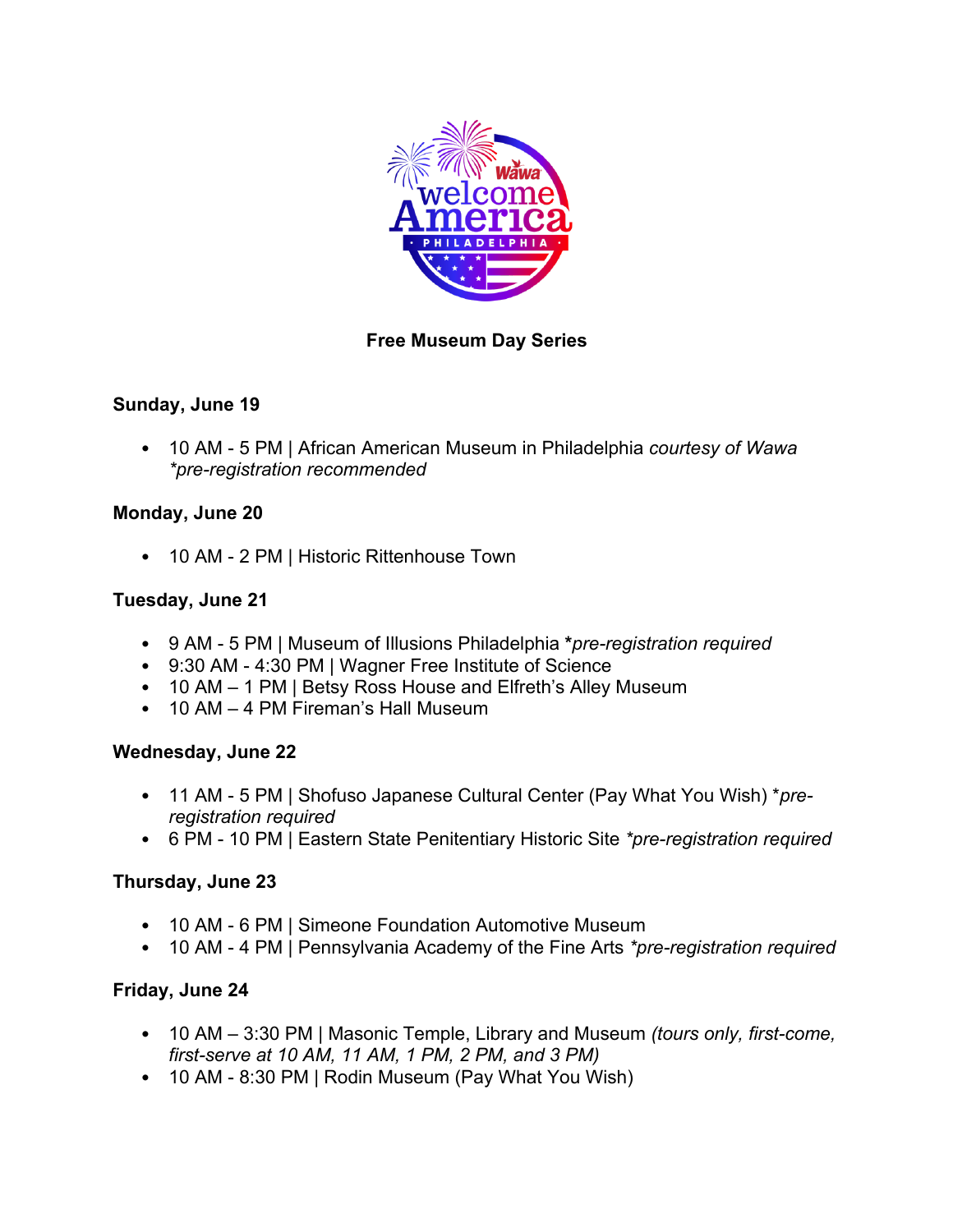

# **Free Museum Day Series**

### **Sunday, June 19**

• 10 AM - 5 PM | African American Museum in Philadelphia *courtesy of Wawa \*pre-registration recommended*

### **Monday, June 20**

• 10 AM - 2 PM | Historic Rittenhouse Town

### **Tuesday, June 21**

- 9 AM 5 PM | Museum of Illusions Philadelphia **\****pre-registration required*
- 9:30 AM 4:30 PM | Wagner Free Institute of Science
- 10 AM 1 PM | Betsy Ross House and Elfreth's Alley Museum
- 10 AM 4 PM Fireman's Hall Museum

#### **Wednesday, June 22**

- 11 AM 5 PM | Shofuso Japanese Cultural Center (Pay What You Wish) \**preregistration required*
- 6 PM 10 PM | Eastern State Penitentiary Historic Site *\*pre-registration required*

# **Thursday, June 23**

- 10 AM 6 PM | Simeone Foundation Automotive Museum
- 10 AM 4 PM | Pennsylvania Academy of the Fine Arts *\*pre-registration required*

# **Friday, June 24**

- 10 AM 3:30 PM | Masonic Temple, Library and Museum *(tours only, first-come, first-serve at 10 AM, 11 AM, 1 PM, 2 PM, and 3 PM)*
- 10 AM 8:30 PM | Rodin Museum (Pay What You Wish)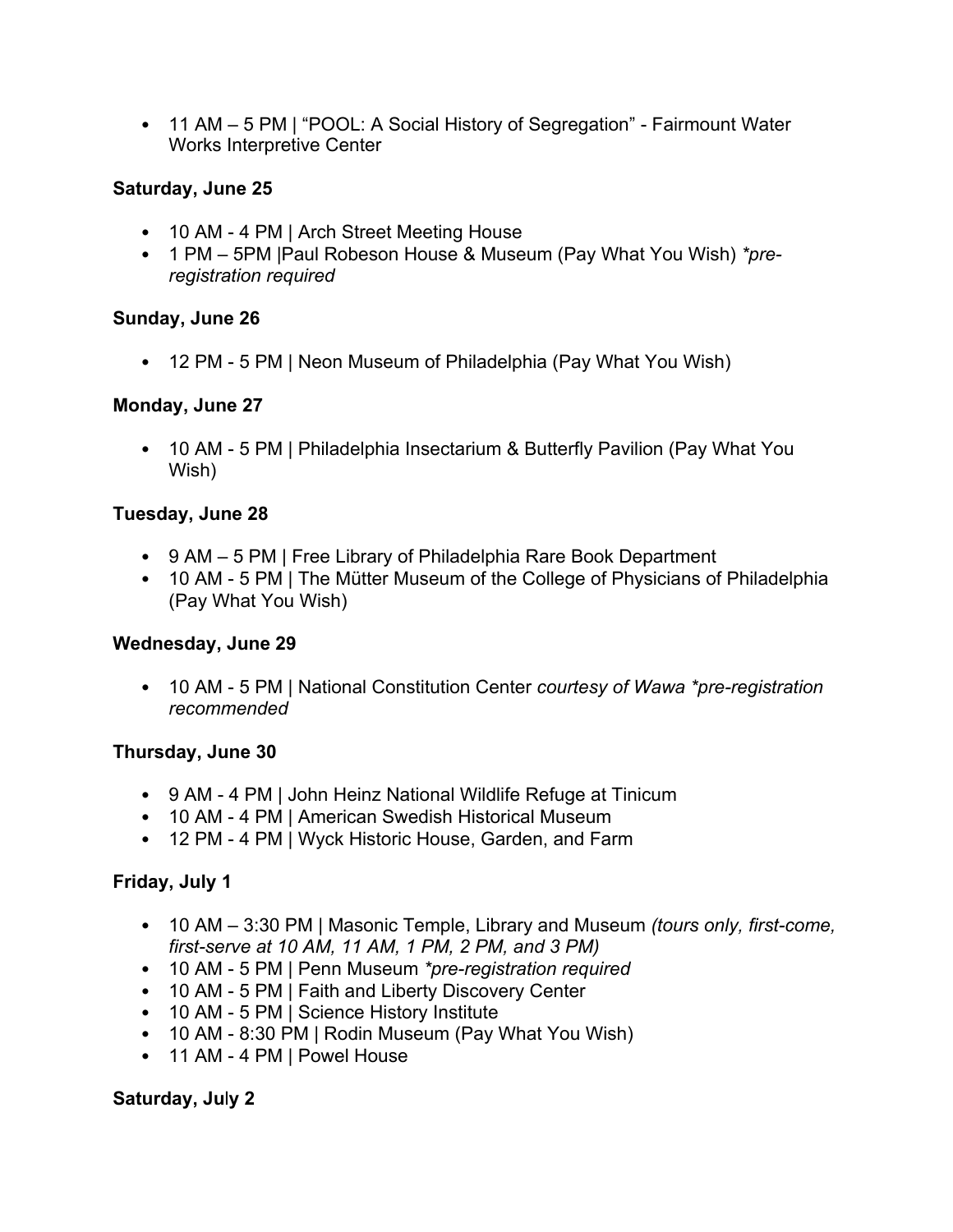• 11 AM – 5 PM | "POOL: A Social History of Segregation" - Fairmount Water Works Interpretive Center

# **Saturday, June 25**

- 10 AM 4 PM | Arch Street Meeting House
- 1 PM 5PM |Paul Robeson House & Museum (Pay What You Wish) *\*preregistration required*

### **Sunday, June 26**

• 12 PM - 5 PM | Neon Museum of Philadelphia (Pay What You Wish)

#### **Monday, June 27**

• 10 AM - 5 PM | Philadelphia Insectarium & Butterfly Pavilion (Pay What You Wish)

### **Tuesday, June 28**

- 9 AM 5 PM | Free Library of Philadelphia Rare Book Department
- 10 AM 5 PM | The Mütter Museum of the College of Physicians of Philadelphia (Pay What You Wish)

#### **Wednesday, June 29**

• 10 AM - 5 PM | National Constitution Center *courtesy of Wawa \*pre-registration recommended*

#### **Thursday, June 30**

- 9 AM 4 PM | John Heinz National Wildlife Refuge at Tinicum
- 10 AM 4 PM | American Swedish Historical Museum
- 12 PM 4 PM | Wyck Historic House, Garden, and Farm

# **Friday, July 1**

- 10 AM 3:30 PM | Masonic Temple, Library and Museum *(tours only, first-come, first-serve at 10 AM, 11 AM, 1 PM, 2 PM, and 3 PM)*
- 10 AM 5 PM | Penn Museum *\*pre-registration required*
- 10 AM 5 PM | Faith and Liberty Discovery Center
- 10 AM 5 PM | Science History Institute
- 10 AM 8:30 PM | Rodin Museum (Pay What You Wish)
- 11 AM 4 PM | Powel House

#### **Saturday, Ju**l**y 2**